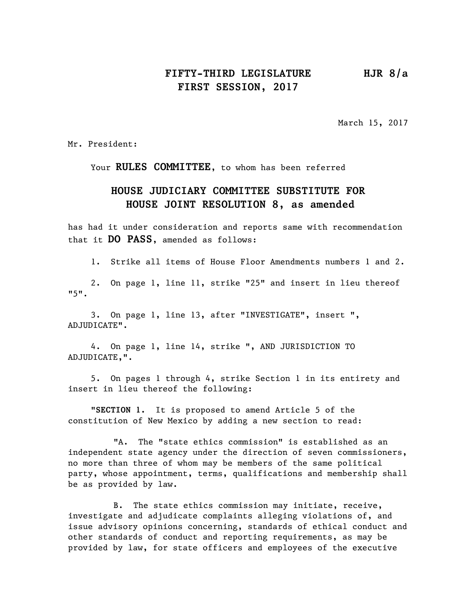## **FIFTY-THIRD LEGISLATURE HJR 8/a FIRST SESSION, 2017**

March 15, 2017

Mr. President:

Your **RULES COMMITTEE**, to whom has been referred

## **HOUSE JUDICIARY COMMITTEE SUBSTITUTE FOR HOUSE JOINT RESOLUTION 8, as amended**

has had it under consideration and reports same with recommendation that it **DO PASS**, amended as follows:

1. Strike all items of House Floor Amendments numbers 1 and 2.

2. On page 1, line 11, strike "25" and insert in lieu thereof "5".

3. On page 1, line 13, after "INVESTIGATE", insert ", ADJUDICATE".

4. On page 1, line 14, strike ", AND JURISDICTION TO ADJUDICATE,".

5. On pages 1 through 4, strike Section 1 in its entirety and insert in lieu thereof the following:

"**SECTION 1.** It is proposed to amend Article 5 of the constitution of New Mexico by adding a new section to read:

"A. The "state ethics commission" is established as an independent state agency under the direction of seven commissioners, no more than three of whom may be members of the same political party, whose appointment, terms, qualifications and membership shall be as provided by law.

B. The state ethics commission may initiate, receive, investigate and adjudicate complaints alleging violations of, and issue advisory opinions concerning, standards of ethical conduct and other standards of conduct and reporting requirements, as may be provided by law, for state officers and employees of the executive